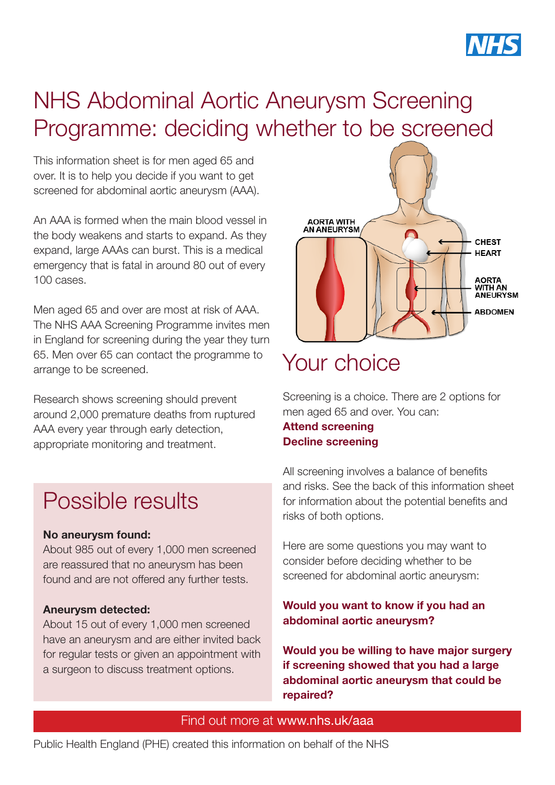

# NHS Abdominal Aortic Aneurysm Screening Programme: deciding whether to be screened

This information sheet is for men aged 65 and over. It is to help you decide if you want to get screened for abdominal aortic aneurysm (AAA).

An AAA is formed when the main blood vessel in the body weakens and starts to expand. As they expand, large AAAs can burst. This is a medical emergency that is fatal in around 80 out of every 100 cases.

Men aged 65 and over are most at risk of AAA. The [NHS AAA Screening Programme](http://www.nhs.uk/aaa) invites men in England for screening during the year they turn 65. Men over 65 can contact the programme to arrange to be screened.

Research shows screening should prevent around 2,000 premature deaths from ruptured AAA every year through early detection, appropriate monitoring and treatment.

### Possible results

#### No aneurysm found:

About 985 out of every 1,000 men screened are reassured that no aneurysm has been found and are not offered any further tests.

### Aneurysm detected:

About 15 out of every 1,000 men screened have an aneurysm and are either invited back for regular tests or given an appointment with a surgeon to discuss treatment options.



# Your choice

Screening is a choice. There are 2 options for men aged 65 and over. You can: Attend screening Decline screening

All screening involves a balance of benefits and risks. See the back of this information sheet for information about the potential benefits and risks of both options.

Here are some questions you may want to consider before deciding whether to be screened for abdominal aortic aneurysm:

### Would you want to know if you had an abdominal aortic aneurysm?

Would you be willing to have major surgery if screening showed that you had a large abdominal aortic aneurysm that could be repaired?

#### Find out more at [www.nhs.uk/aaa](http://www.nhs.uk/aaa)